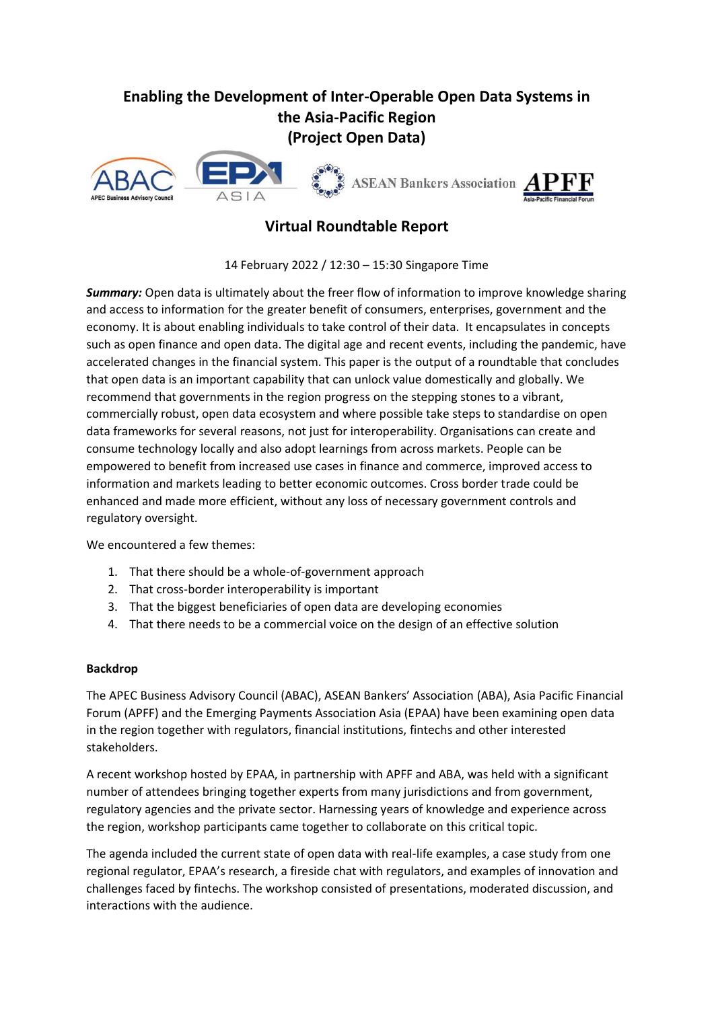# **Enabling the Development of Inter-Operable Open Data Systems in the Asia-Pacific Region (Project Open Data)**



## **Virtual Roundtable Report**

14 February 2022 / 12:30 – 15:30 Singapore Time

*Summary:* Open data is ultimately about the freer flow of information to improve knowledge sharing and access to information for the greater benefit of consumers, enterprises, government and the economy. It is about enabling individuals to take control of their data. It encapsulates in concepts such as open finance and open data. The digital age and recent events, including the pandemic, have accelerated changes in the financial system. This paper is the output of a roundtable that concludes that open data is an important capability that can unlock value domestically and globally. We recommend that governments in the region progress on the stepping stones to a vibrant, commercially robust, open data ecosystem and where possible take steps to standardise on open data frameworks for several reasons, not just for interoperability. Organisations can create and consume technology locally and also adopt learnings from across markets. People can be empowered to benefit from increased use cases in finance and commerce, improved access to information and markets leading to better economic outcomes. Cross border trade could be enhanced and made more efficient, without any loss of necessary government controls and regulatory oversight.

#### We encountered a few themes:

- 1. That there should be a whole-of-government approach
- 2. That cross-border interoperability is important
- 3. That the biggest beneficiaries of open data are developing economies
- 4. That there needs to be a commercial voice on the design of an effective solution

#### **Backdrop**

The APEC Business Advisory Council (ABAC), ASEAN Bankers' Association (ABA), Asia Pacific Financial Forum (APFF) and the Emerging Payments Association Asia (EPAA) have been examining open data in the region together with regulators, financial institutions, fintechs and other interested stakeholders.

A recent workshop hosted by EPAA, in partnership with APFF and ABA, was held with a significant number of attendees bringing together experts from many jurisdictions and from government, regulatory agencies and the private sector. Harnessing years of knowledge and experience across the region, workshop participants came together to collaborate on this critical topic.

The agenda included the current state of open data with real-life examples, a case study from one regional regulator, EPAA's research, a fireside chat with regulators, and examples of innovation and challenges faced by fintechs. The workshop consisted of presentations, moderated discussion, and interactions with the audience.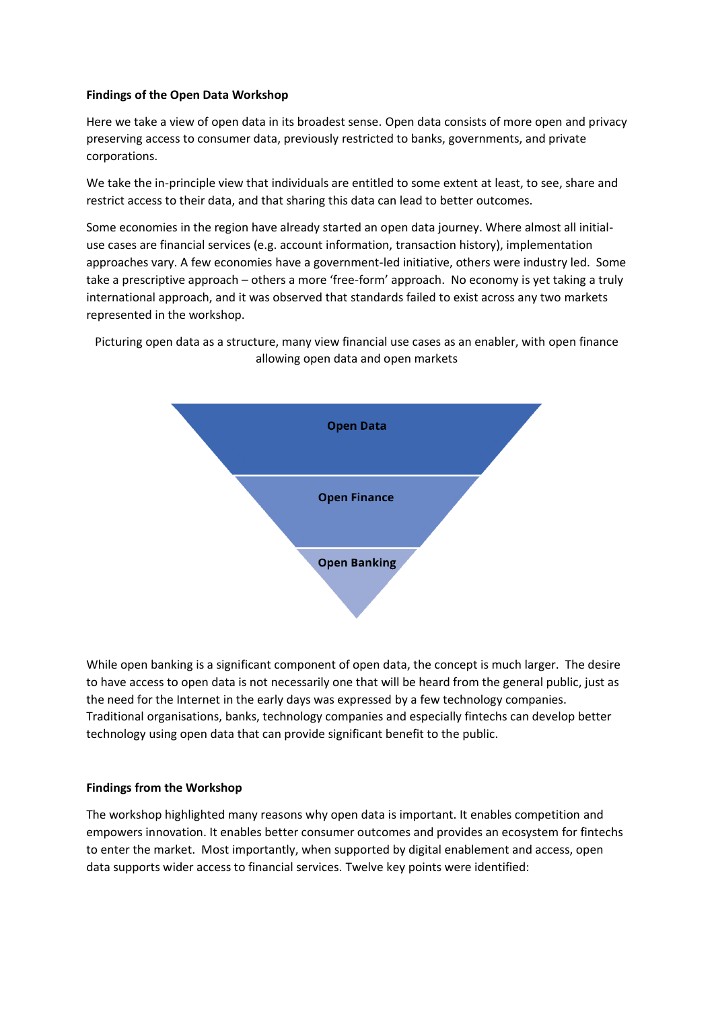#### **Findings of the Open Data Workshop**

Here we take a view of open data in its broadest sense. Open data consists of more open and privacy preserving access to consumer data, previously restricted to banks, governments, and private corporations.

We take the in-principle view that individuals are entitled to some extent at least, to see, share and restrict access to their data, and that sharing this data can lead to better outcomes.

Some economies in the region have already started an open data journey. Where almost all initialuse cases are financial services (e.g. account information, transaction history), implementation approaches vary. A few economies have a government-led initiative, others were industry led. Some take a prescriptive approach – others a more 'free-form' approach. No economy is yet taking a truly international approach, and it was observed that standards failed to exist across any two markets represented in the workshop.

Picturing open data as a structure, many view financial use cases as an enabler, with open finance allowing open data and open markets



While open banking is a significant component of open data, the concept is much larger. The desire to have access to open data is not necessarily one that will be heard from the general public, just as the need for the Internet in the early days was expressed by a few technology companies. Traditional organisations, banks, technology companies and especially fintechs can develop better technology using open data that can provide significant benefit to the public.

#### **Findings from the Workshop**

The workshop highlighted many reasons why open data is important. It enables competition and empowers innovation. It enables better consumer outcomes and provides an ecosystem for fintechs to enter the market. Most importantly, when supported by digital enablement and access, open data supports wider access to financial services. Twelve key points were identified: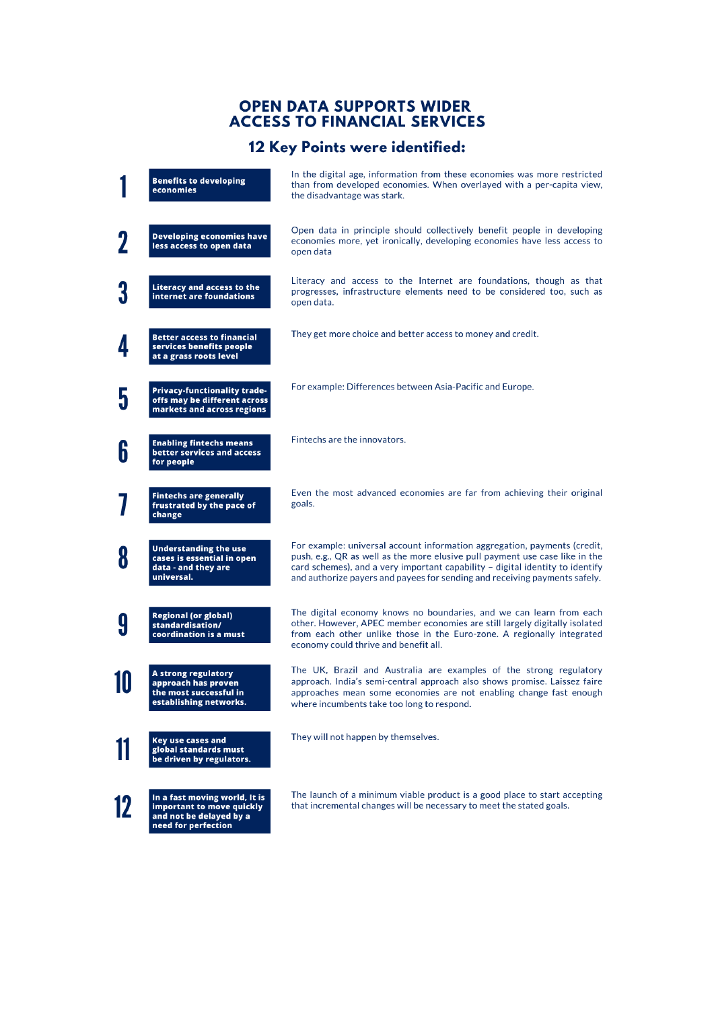# **OPEN DATA SUPPORTS WIDER<br>ACCESS TO FINANCIAL SERVICES**

# 12 Key Points were identified:

|          | <b>Benefits to developing</b><br>economies                                                                   | In the digital age, information from these economies was more restricted<br>than from developed economies. When overlayed with a per-capita view,<br>the disadvantage was stark.                                                                                                                                         |
|----------|--------------------------------------------------------------------------------------------------------------|--------------------------------------------------------------------------------------------------------------------------------------------------------------------------------------------------------------------------------------------------------------------------------------------------------------------------|
|          | <b>Developing economies have</b><br>less access to open data                                                 | Open data in principle should collectively benefit people in developing<br>economies more, yet ironically, developing economies have less access to<br>open data                                                                                                                                                         |
|          | <b>Literacy and access to the</b><br>internet are foundations                                                | Literacy and access to the Internet are foundations, though as that<br>progresses, infrastructure elements need to be considered too, such as<br>open data.                                                                                                                                                              |
|          | Better access to financial<br>services benefits people<br>at a grass roots level                             | They get more choice and better access to money and credit.                                                                                                                                                                                                                                                              |
| 5        | <b>Privacy-functionality trade-</b><br>offs may be different across<br>markets and across regions            | For example: Differences between Asia-Pacific and Europe.                                                                                                                                                                                                                                                                |
| 6        | <b>Enabling fintechs means</b><br>better services and access<br>for people                                   | Fintechs are the innovators.                                                                                                                                                                                                                                                                                             |
|          | <b>Fintechs are generally</b><br>frustrated by the pace of<br>change                                         | Even the most advanced economies are far from achieving their original<br>goals.                                                                                                                                                                                                                                         |
| 8        | <b>Understanding the use</b><br>cases is essential in open<br>data - and they are<br>universal.              | For example: universal account information aggregation, payments (credit,<br>push, e.g., QR as well as the more elusive pull payment use case like in the<br>card schemes), and a very important capability - digital identity to identify<br>and authorize payers and payees for sending and receiving payments safely. |
| <b>y</b> | <b>Regional (or global)</b><br>standardisation/<br>coordination is a must                                    | The digital economy knows no boundaries, and we can learn from each<br>other. However, APEC member economies are still largely digitally isolated<br>from each other unlike those in the Euro-zone. A regionally integrated<br>economy could thrive and benefit all.                                                     |
|          | A strong regulatory<br>approach has proven<br>the most successful in<br>establishing networks.               | The UK, Brazil and Australia are examples of the strong regulatory<br>approach. India's semi-central approach also shows promise. Laissez faire<br>approaches mean some economies are not enabling change fast enough<br>where incumbents take too long to respond.                                                      |
|          | <b>Key use cases and</b><br>global standards must<br>be driven by regulators.                                | They will not happen by themselves.                                                                                                                                                                                                                                                                                      |
| 12       | In a fast moving world, It is<br>important to move quickly<br>and not be delayed by a<br>need for perfection | The launch of a minimum viable product is a good place to start accepting<br>that incremental changes will be necessary to meet the stated goals.                                                                                                                                                                        |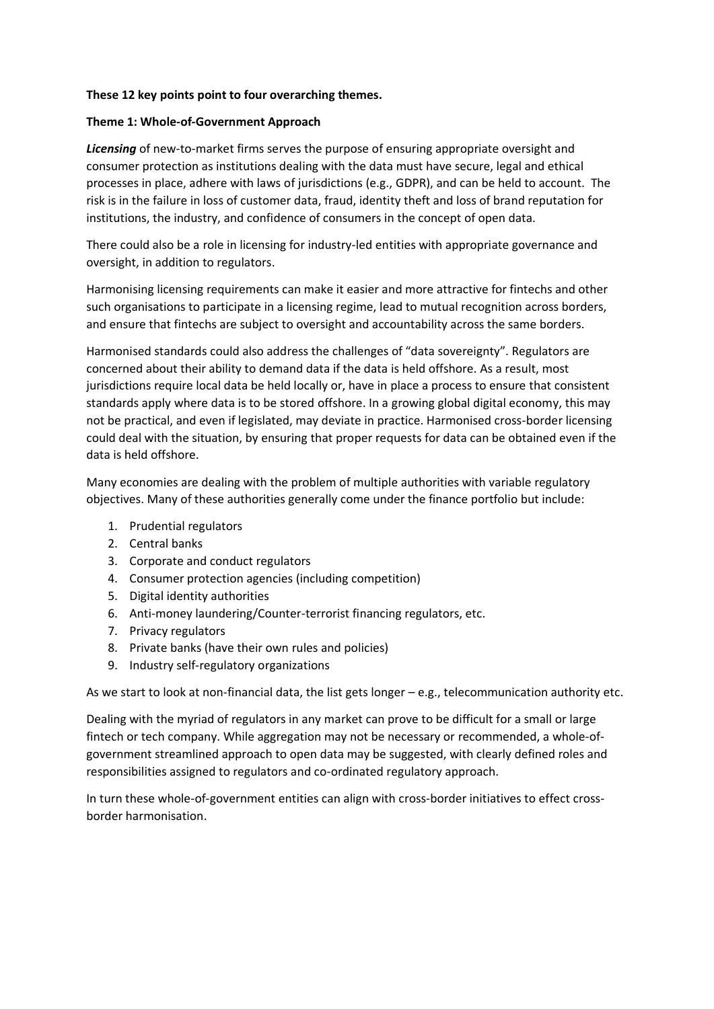#### **These 12 key points point to four overarching themes.**

#### **Theme 1: Whole-of-Government Approach**

*Licensing* of new-to-market firms serves the purpose of ensuring appropriate oversight and consumer protection as institutions dealing with the data must have secure, legal and ethical processes in place, adhere with laws of jurisdictions (e.g., GDPR), and can be held to account. The risk is in the failure in loss of customer data, fraud, identity theft and loss of brand reputation for institutions, the industry, and confidence of consumers in the concept of open data.

There could also be a role in licensing for industry-led entities with appropriate governance and oversight, in addition to regulators.

Harmonising licensing requirements can make it easier and more attractive for fintechs and other such organisations to participate in a licensing regime, lead to mutual recognition across borders, and ensure that fintechs are subject to oversight and accountability across the same borders.

Harmonised standards could also address the challenges of "data sovereignty". Regulators are concerned about their ability to demand data if the data is held offshore. As a result, most jurisdictions require local data be held locally or, have in place a process to ensure that consistent standards apply where data is to be stored offshore. In a growing global digital economy, this may not be practical, and even if legislated, may deviate in practice. Harmonised cross-border licensing could deal with the situation, by ensuring that proper requests for data can be obtained even if the data is held offshore.

Many economies are dealing with the problem of multiple authorities with variable regulatory objectives. Many of these authorities generally come under the finance portfolio but include:

- 1. Prudential regulators
- 2. Central banks
- 3. Corporate and conduct regulators
- 4. Consumer protection agencies (including competition)
- 5. Digital identity authorities
- 6. Anti-money laundering/Counter-terrorist financing regulators, etc.
- 7. Privacy regulators
- 8. Private banks (have their own rules and policies)
- 9. Industry self-regulatory organizations

As we start to look at non-financial data, the list gets longer  $-e.g.,$  telecommunication authority etc.

Dealing with the myriad of regulators in any market can prove to be difficult for a small or large fintech or tech company. While aggregation may not be necessary or recommended, a whole-ofgovernment streamlined approach to open data may be suggested, with clearly defined roles and responsibilities assigned to regulators and co-ordinated regulatory approach.

In turn these whole-of-government entities can align with cross-border initiatives to effect crossborder harmonisation.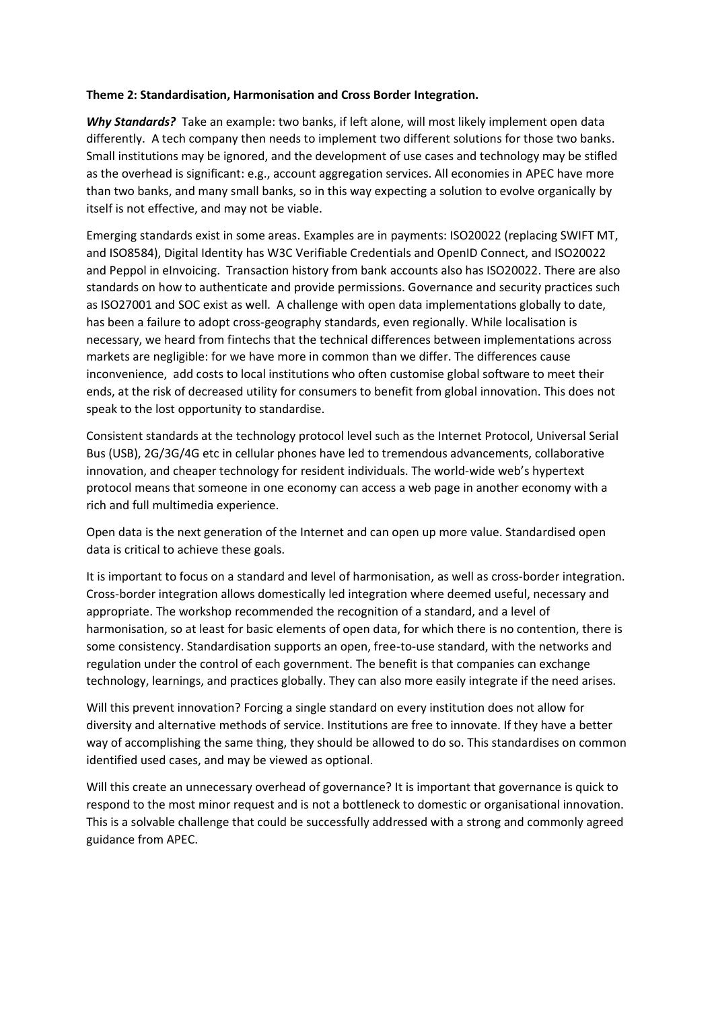#### **Theme 2: Standardisation, Harmonisation and Cross Border Integration.**

*Why Standards?* Take an example: two banks, if left alone, will most likely implement open data differently. A tech company then needs to implement two different solutions for those two banks. Small institutions may be ignored, and the development of use cases and technology may be stifled as the overhead is significant: e.g., account aggregation services. All economies in APEC have more than two banks, and many small banks, so in this way expecting a solution to evolve organically by itself is not effective, and may not be viable.

Emerging standards exist in some areas. Examples are in payments: ISO20022 (replacing SWIFT MT, and ISO8584), Digital Identity has W3C Verifiable Credentials and OpenID Connect, and ISO20022 and Peppol in eInvoicing. Transaction history from bank accounts also has ISO20022. There are also standards on how to authenticate and provide permissions. Governance and security practices such as ISO27001 and SOC exist as well. A challenge with open data implementations globally to date, has been a failure to adopt cross-geography standards, even regionally. While localisation is necessary, we heard from fintechs that the technical differences between implementations across markets are negligible: for we have more in common than we differ. The differences cause inconvenience, add costs to local institutions who often customise global software to meet their ends, at the risk of decreased utility for consumers to benefit from global innovation. This does not speak to the lost opportunity to standardise.

Consistent standards at the technology protocol level such as the Internet Protocol, Universal Serial Bus (USB), 2G/3G/4G etc in cellular phones have led to tremendous advancements, collaborative innovation, and cheaper technology for resident individuals. The world-wide web's hypertext protocol means that someone in one economy can access a web page in another economy with a rich and full multimedia experience.

Open data is the next generation of the Internet and can open up more value. Standardised open data is critical to achieve these goals.

It is important to focus on a standard and level of harmonisation, as well as cross-border integration. Cross-border integration allows domestically led integration where deemed useful, necessary and appropriate. The workshop recommended the recognition of a standard, and a level of harmonisation, so at least for basic elements of open data, for which there is no contention, there is some consistency. Standardisation supports an open, free-to-use standard, with the networks and regulation under the control of each government. The benefit is that companies can exchange technology, learnings, and practices globally. They can also more easily integrate if the need arises.

Will this prevent innovation? Forcing a single standard on every institution does not allow for diversity and alternative methods of service. Institutions are free to innovate. If they have a better way of accomplishing the same thing, they should be allowed to do so. This standardises on common identified used cases, and may be viewed as optional.

Will this create an unnecessary overhead of governance? It is important that governance is quick to respond to the most minor request and is not a bottleneck to domestic or organisational innovation. This is a solvable challenge that could be successfully addressed with a strong and commonly agreed guidance from APEC.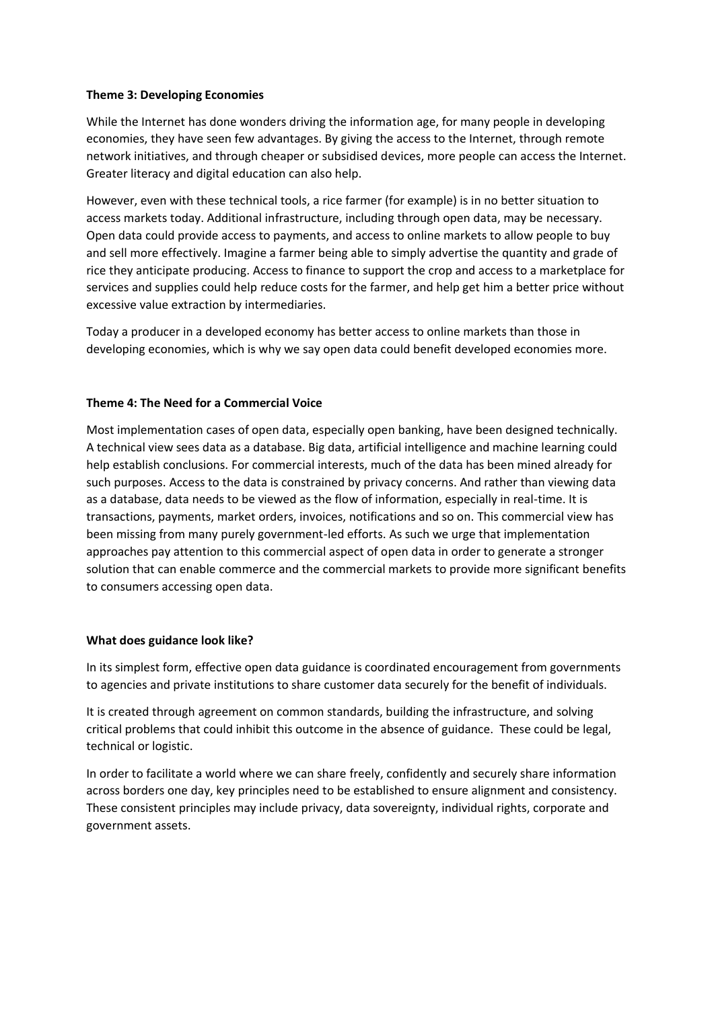#### **Theme 3: Developing Economies**

While the Internet has done wonders driving the information age, for many people in developing economies, they have seen few advantages. By giving the access to the Internet, through remote network initiatives, and through cheaper or subsidised devices, more people can access the Internet. Greater literacy and digital education can also help.

However, even with these technical tools, a rice farmer (for example) is in no better situation to access markets today. Additional infrastructure, including through open data, may be necessary. Open data could provide access to payments, and access to online markets to allow people to buy and sell more effectively. Imagine a farmer being able to simply advertise the quantity and grade of rice they anticipate producing. Access to finance to support the crop and access to a marketplace for services and supplies could help reduce costs for the farmer, and help get him a better price without excessive value extraction by intermediaries.

Today a producer in a developed economy has better access to online markets than those in developing economies, which is why we say open data could benefit developed economies more.

#### **Theme 4: The Need for a Commercial Voice**

Most implementation cases of open data, especially open banking, have been designed technically. A technical view sees data as a database. Big data, artificial intelligence and machine learning could help establish conclusions. For commercial interests, much of the data has been mined already for such purposes. Access to the data is constrained by privacy concerns. And rather than viewing data as a database, data needs to be viewed as the flow of information, especially in real-time. It is transactions, payments, market orders, invoices, notifications and so on. This commercial view has been missing from many purely government-led efforts. As such we urge that implementation approaches pay attention to this commercial aspect of open data in order to generate a stronger solution that can enable commerce and the commercial markets to provide more significant benefits to consumers accessing open data.

#### **What does guidance look like?**

In its simplest form, effective open data guidance is coordinated encouragement from governments to agencies and private institutions to share customer data securely for the benefit of individuals.

It is created through agreement on common standards, building the infrastructure, and solving critical problems that could inhibit this outcome in the absence of guidance. These could be legal, technical or logistic.

In order to facilitate a world where we can share freely, confidently and securely share information across borders one day, key principles need to be established to ensure alignment and consistency. These consistent principles may include privacy, data sovereignty, individual rights, corporate and government assets.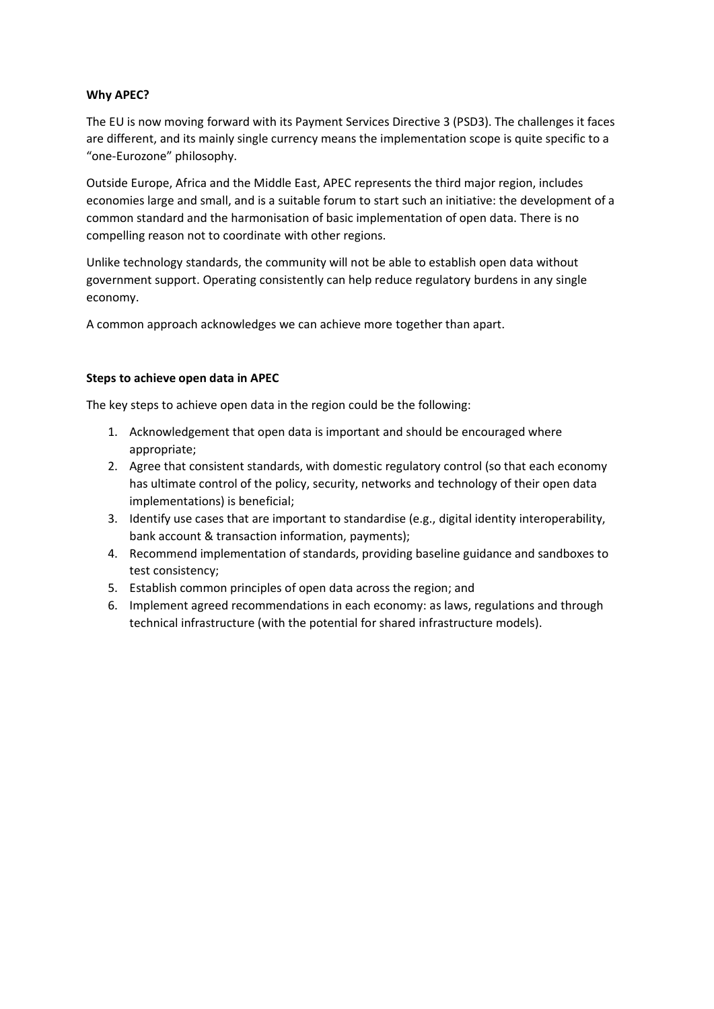#### **Why APEC?**

The EU is now moving forward with its Payment Services Directive 3 (PSD3). The challenges it faces are different, and its mainly single currency means the implementation scope is quite specific to a "one-Eurozone" philosophy.

Outside Europe, Africa and the Middle East, APEC represents the third major region, includes economies large and small, and is a suitable forum to start such an initiative: the development of a common standard and the harmonisation of basic implementation of open data. There is no compelling reason not to coordinate with other regions.

Unlike technology standards, the community will not be able to establish open data without government support. Operating consistently can help reduce regulatory burdens in any single economy.

A common approach acknowledges we can achieve more together than apart.

#### **Steps to achieve open data in APEC**

The key steps to achieve open data in the region could be the following:

- 1. Acknowledgement that open data is important and should be encouraged where appropriate;
- 2. Agree that consistent standards, with domestic regulatory control (so that each economy has ultimate control of the policy, security, networks and technology of their open data implementations) is beneficial;
- 3. Identify use cases that are important to standardise (e.g., digital identity interoperability, bank account & transaction information, payments);
- 4. Recommend implementation of standards, providing baseline guidance and sandboxes to test consistency;
- 5. Establish common principles of open data across the region; and
- 6. Implement agreed recommendations in each economy: as laws, regulations and through technical infrastructure (with the potential for shared infrastructure models).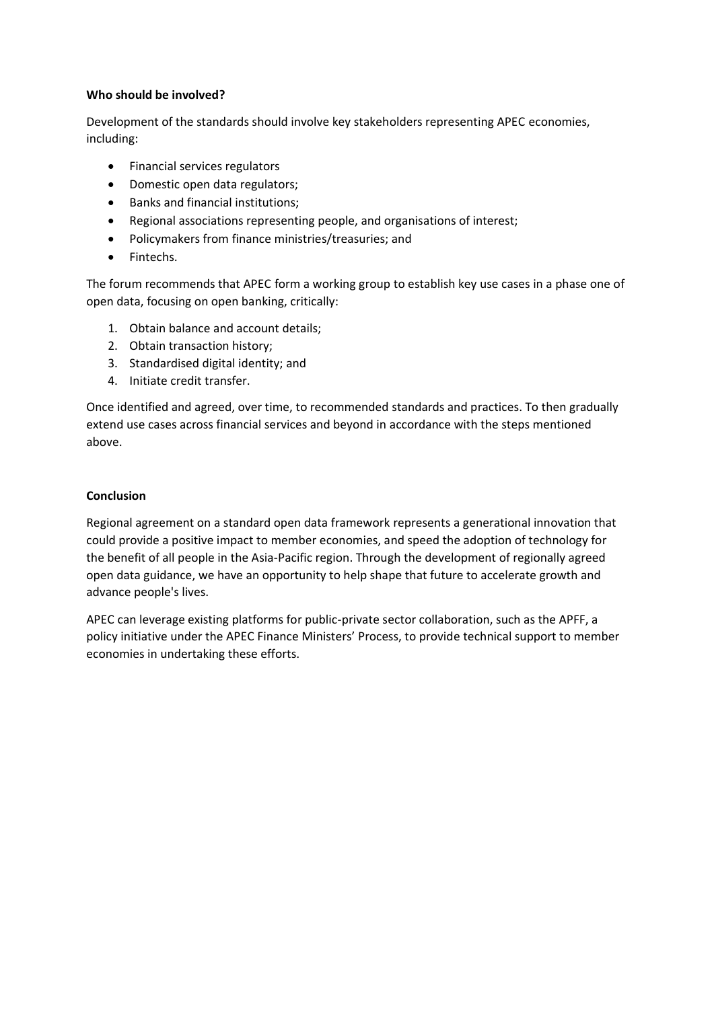#### **Who should be involved?**

Development of the standards should involve key stakeholders representing APEC economies, including:

- Financial services regulators
- Domestic open data regulators;
- Banks and financial institutions;
- Regional associations representing people, and organisations of interest;
- Policymakers from finance ministries/treasuries; and
- Fintechs.

The forum recommends that APEC form a working group to establish key use cases in a phase one of open data, focusing on open banking, critically:

- 1. Obtain balance and account details;
- 2. Obtain transaction history;
- 3. Standardised digital identity; and
- 4. Initiate credit transfer.

Once identified and agreed, over time, to recommended standards and practices. To then gradually extend use cases across financial services and beyond in accordance with the steps mentioned above.

#### **Conclusion**

Regional agreement on a standard open data framework represents a generational innovation that could provide a positive impact to member economies, and speed the adoption of technology for the benefit of all people in the Asia-Pacific region. Through the development of regionally agreed open data guidance, we have an opportunity to help shape that future to accelerate growth and advance people's lives.

APEC can leverage existing platforms for public-private sector collaboration, such as the APFF, a policy initiative under the APEC Finance Ministers' Process, to provide technical support to member economies in undertaking these efforts.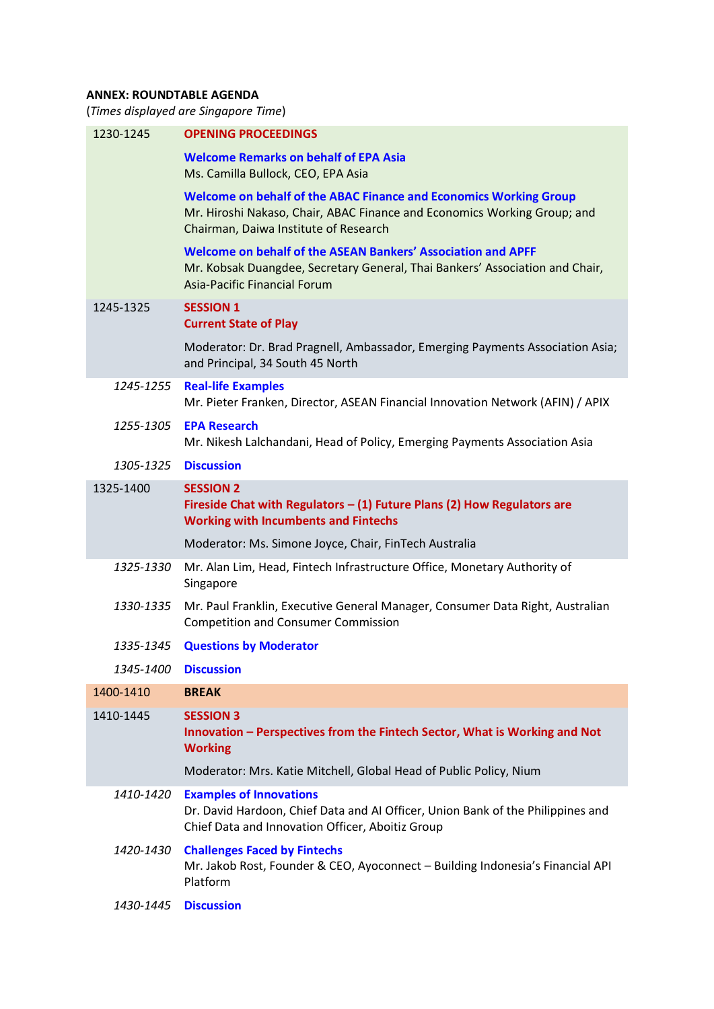### **ANNEX: ROUNDTABLE AGENDA**

(*Times displayed are Singapore Time*)

| 1230-1245 | <b>OPENING PROCEEDINGS</b>                                                                                                                                                                    |
|-----------|-----------------------------------------------------------------------------------------------------------------------------------------------------------------------------------------------|
|           | <b>Welcome Remarks on behalf of EPA Asia</b><br>Ms. Camilla Bullock, CEO, EPA Asia                                                                                                            |
|           | <b>Welcome on behalf of the ABAC Finance and Economics Working Group</b><br>Mr. Hiroshi Nakaso, Chair, ABAC Finance and Economics Working Group; and<br>Chairman, Daiwa Institute of Research |
|           | Welcome on behalf of the ASEAN Bankers' Association and APFF<br>Mr. Kobsak Duangdee, Secretary General, Thai Bankers' Association and Chair,<br><b>Asia-Pacific Financial Forum</b>           |
| 1245-1325 | <b>SESSION 1</b><br><b>Current State of Play</b>                                                                                                                                              |
|           | Moderator: Dr. Brad Pragnell, Ambassador, Emerging Payments Association Asia;<br>and Principal, 34 South 45 North                                                                             |
| 1245-1255 | <b>Real-life Examples</b><br>Mr. Pieter Franken, Director, ASEAN Financial Innovation Network (AFIN) / APIX                                                                                   |
| 1255-1305 | <b>EPA Research</b><br>Mr. Nikesh Lalchandani, Head of Policy, Emerging Payments Association Asia                                                                                             |
| 1305-1325 | <b>Discussion</b>                                                                                                                                                                             |
| 1325-1400 | <b>SESSION 2</b><br>Fireside Chat with Regulators $-$ (1) Future Plans (2) How Regulators are<br><b>Working with Incumbents and Fintechs</b>                                                  |
|           | Moderator: Ms. Simone Joyce, Chair, FinTech Australia                                                                                                                                         |
| 1325-1330 | Mr. Alan Lim, Head, Fintech Infrastructure Office, Monetary Authority of<br>Singapore                                                                                                         |
| 1330-1335 | Mr. Paul Franklin, Executive General Manager, Consumer Data Right, Australian<br><b>Competition and Consumer Commission</b>                                                                   |
| 1335-1345 | <b>Questions by Moderator</b>                                                                                                                                                                 |
| 1345-1400 | <b>Discussion</b>                                                                                                                                                                             |
| 1400-1410 | <b>BREAK</b>                                                                                                                                                                                  |
| 1410-1445 | <b>SESSION 3</b><br>Innovation - Perspectives from the Fintech Sector, What is Working and Not<br><b>Working</b>                                                                              |
|           | Moderator: Mrs. Katie Mitchell, Global Head of Public Policy, Nium                                                                                                                            |
| 1410-1420 | <b>Examples of Innovations</b><br>Dr. David Hardoon, Chief Data and AI Officer, Union Bank of the Philippines and<br>Chief Data and Innovation Officer, Aboitiz Group                         |
| 1420-1430 | <b>Challenges Faced by Fintechs</b><br>Mr. Jakob Rost, Founder & CEO, Ayoconnect - Building Indonesia's Financial API<br>Platform                                                             |
| 1430-1445 | <b>Discussion</b>                                                                                                                                                                             |